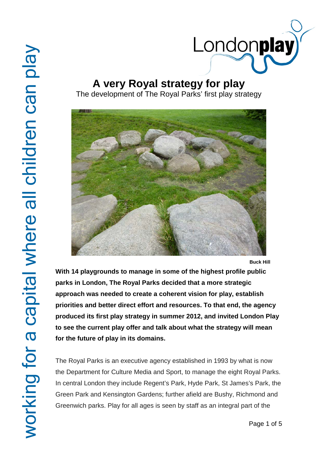

## **A very Royal strategy for play**

The development of The Royal Parks' first play strategy



**Buck Hill**

**With 14 playgrounds to manage in some of the highest profile public parks in London, The Royal Parks decided that a more strategic approach was needed to create a coherent vision for play, establish priorities and better direct effort and resources. To that end, the agency produced its first play strategy in summer 2012, and invited London Play to see the current play offer and talk about what the strategy will mean for the future of play in its domains.**

The Royal Parks is an executive agency established in 1993 by what is now the Department for Culture Media and Sport, to manage the eight Royal Parks. In central London they include Regent's Park, Hyde Park, St James's Park, the Green Park and Kensington Gardens; further afield are Bushy, Richmond and Greenwich parks. Play for all ages is seen by staff as an integral part of the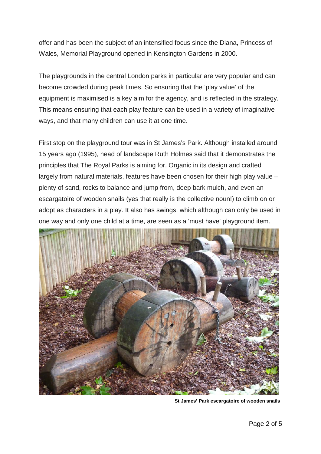offer and has been the subject of an intensified focus since the Diana, Princess of Wales, Memorial Playground opened in Kensington Gardens in 2000.

The playgrounds in the central London parks in particular are very popular and can become crowded during peak times. So ensuring that the 'play value' of the equipment is maximised is a key aim for the agency, and is reflected in the strategy. This means ensuring that each play feature can be used in a variety of imaginative ways, and that many children can use it at one time.

First stop on the playground tour was in St James's Park. Although installed around 15 years ago (1995), head of landscape Ruth Holmes said that it demonstrates the principles that The Royal Parks is aiming for. Organic in its design and crafted largely from natural materials, features have been chosen for their high play value – plenty of sand, rocks to balance and jump from, deep bark mulch, and even an escargatoire of wooden snails (yes that really is the collective noun!) to climb on or adopt as characters in a play. It also has swings, which although can only be used in one way and only one child at a time, are seen as a 'must have' playground item.



**St James' Park escargatoire of wooden snails**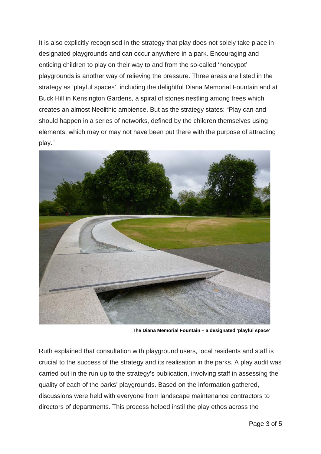It is also explicitly recognised in the strategy that play does not solely take place in designated playgrounds and can occur anywhere in a park. Encouraging and enticing children to play on their way to and from the so-called 'honeypot' playgrounds is another way of relieving the pressure. Three areas are listed in the strategy as 'playful spaces', including the delightful Diana Memorial Fountain and at Buck Hill in Kensington Gardens, a spiral of stones nestling among trees which creates an almost Neolithic ambience. But as the strategy states: "Play can and should happen in a series of networks, defined by the children themselves using elements, which may or may not have been put there with the purpose of attracting play."



 **The Diana Memorial Fountain – a designated 'playful space'**

Ruth explained that consultation with playground users, local residents and staff is crucial to the success of the strategy and its realisation in the parks. A play audit was carried out in the run up to the strategy's publication, involving staff in assessing the quality of each of the parks' playgrounds. Based on the information gathered, discussions were held with everyone from landscape maintenance contractors to directors of departments. This process helped instil the play ethos across the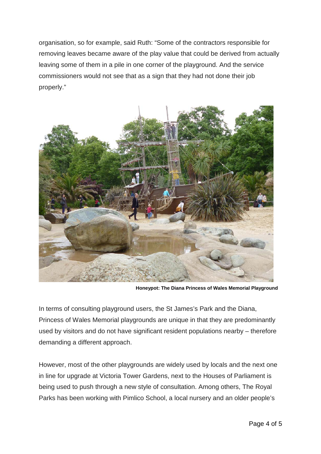organisation, so for example, said Ruth: "Some of the contractors responsible for removing leaves became aware of the play value that could be derived from actually leaving some of them in a pile in one corner of the playground. And the service commissioners would not see that as a sign that they had not done their job properly."



**Honeypot: The Diana Princess of Wales Memorial Playground**

In terms of consulting playground users, the St James's Park and the Diana, Princess of Wales Memorial playgrounds are unique in that they are predominantly used by visitors and do not have significant resident populations nearby – therefore demanding a different approach.

However, most of the other playgrounds are widely used by locals and the next one in line for upgrade at Victoria Tower Gardens, next to the Houses of Parliament is being used to push through a new style of consultation. Among others, The Royal Parks has been working with Pimlico School, a local nursery and an older people's